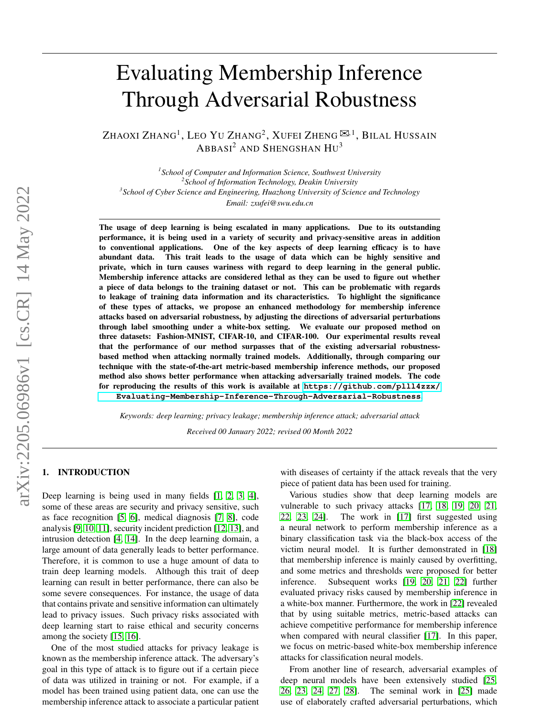# Evaluating Membership Inference Through Adversarial Robustness

Zhaoxi Zhang<sup>1</sup>, Leo Yu Zhang<sup>2</sup>, Xufei Zheng  $^{\boxtimes,1}$ , Bilal Hussain  $ABBASI<sup>2</sup>$  and Shengshan  $HU<sup>3</sup>$ 

 *School of Computer and Information Science, Southwest University School of Information Technology, Deakin University School of Cyber Science and Engineering, Huazhong University of Science and Technology Email: zxufei@swu.edu.cn*

The usage of deep learning is being escalated in many applications. Due to its outstanding performance, it is being used in a variety of security and privacy-sensitive areas in addition to conventional applications. One of the key aspects of deep learning efficacy is to have abundant data. This trait leads to the usage of data which can be highly sensitive and private, which in turn causes wariness with regard to deep learning in the general public. Membership inference attacks are considered lethal as they can be used to figure out whether a piece of data belongs to the training dataset or not. This can be problematic with regards to leakage of training data information and its characteristics. To highlight the significance of these types of attacks, we propose an enhanced methodology for membership inference attacks based on adversarial robustness, by adjusting the directions of adversarial perturbations through label smoothing under a white-box setting. We evaluate our proposed method on three datasets: Fashion-MNIST, CIFAR-10, and CIFAR-100. Our experimental results reveal that the performance of our method surpasses that of the existing adversarial robustnessbased method when attacking normally trained models. Additionally, through comparing our technique with the state-of-the-art metric-based membership inference methods, our proposed method also shows better performance when attacking adversarially trained models. The code for reproducing the results of this work is available at **[https://github.com/plll4zzx/](https://github.com/plll4zzx/Evaluating-Membership-Inference-Through-Adversarial-Robustness) [Evaluating-Membership-Inference-Through-Adversarial-Robustness](https://github.com/plll4zzx/Evaluating-Membership-Inference-Through-Adversarial-Robustness)**.

*Keywords: deep learning; privacy leakage; membership inference attack; adversarial attack Received 00 January 2022; revised 00 Month 2022*

# <span id="page-0-0"></span>1. INTRODUCTION

Deep learning is being used in many fields [\[1,](#page-8-0) [2,](#page-8-1) [3,](#page-8-2) [4\]](#page-8-3), some of these areas are security and privacy sensitive, such as face recognition [\[5,](#page-8-4) [6\]](#page-8-5), medical diagnosis [\[7,](#page-8-6) [8\]](#page-8-7), code analysis [\[9,](#page-8-8) [10,](#page-8-9) [11\]](#page-8-10), security incident prediction [\[12,](#page-8-11) [13\]](#page-8-12), and intrusion detection [\[4,](#page-8-3) [14\]](#page-8-13). In the deep learning domain, a large amount of data generally leads to better performance. Therefore, it is common to use a huge amount of data to train deep learning models. Although this trait of deep learning can result in better performance, there can also be some severe consequences. For instance, the usage of data that contains private and sensitive information can ultimately lead to privacy issues. Such privacy risks associated with deep learning start to raise ethical and security concerns among the society [\[15,](#page-8-14) [16\]](#page-8-15).

One of the most studied attacks for privacy leakage is known as the membership inference attack. The adversary's goal in this type of attack is to figure out if a certain piece of data was utilized in training or not. For example, if a model has been trained using patient data, one can use the membership inference attack to associate a particular patient with diseases of certainty if the attack reveals that the very piece of patient data has been used for training.

Various studies show that deep learning models are vulnerable to such privacy attacks [\[17,](#page-8-16) [18,](#page-8-17) [19,](#page-8-18) [20,](#page-8-19) [21,](#page-8-20) [22,](#page-8-21) [23,](#page-8-22) [24\]](#page-8-23). The work in [\[17\]](#page-8-16) first suggested using a neural network to perform membership inference as a binary classification task via the black-box access of the victim neural model. It is further demonstrated in [\[18\]](#page-8-17) that membership inference is mainly caused by overfitting, and some metrics and thresholds were proposed for better inference. Subsequent works [\[19,](#page-8-18) [20,](#page-8-19) [21,](#page-8-20) [22\]](#page-8-21) further evaluated privacy risks caused by membership inference in a white-box manner. Furthermore, the work in [\[22\]](#page-8-21) revealed that by using suitable metrics, metric-based attacks can achieve competitive performance for membership inference when compared with neural classifier [\[17\]](#page-8-16). In this paper, we focus on metric-based white-box membership inference attacks for classification neural models.

From another line of research, adversarial examples of deep neural models have been extensively studied [\[25,](#page-8-24) [26,](#page-8-25) [23,](#page-8-22) [24,](#page-8-23) [27,](#page-8-26) [28\]](#page-8-27). The seminal work in [\[25\]](#page-8-24) made use of elaborately crafted adversarial perturbations, which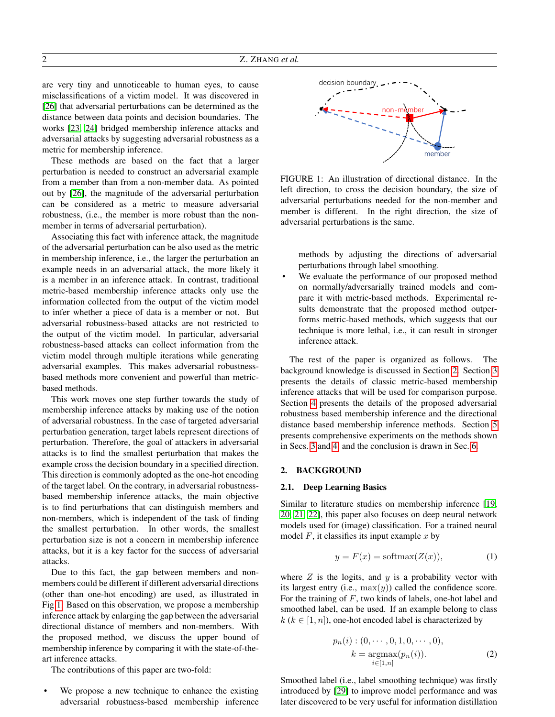are very tiny and unnoticeable to human eyes, to cause misclassifications of a victim model. It was discovered in [\[26\]](#page-8-25) that adversarial perturbations can be determined as the distance between data points and decision boundaries. The works [\[23,](#page-8-22) [24\]](#page-8-23) bridged membership inference attacks and adversarial attacks by suggesting adversarial robustness as a metric for membership inference.

These methods are based on the fact that a larger perturbation is needed to construct an adversarial example from a member than from a non-member data. As pointed out by [\[26\]](#page-8-25), the magnitude of the adversarial perturbation can be considered as a metric to measure adversarial robustness, (i.e., the member is more robust than the nonmember in terms of adversarial perturbation).

Associating this fact with inference attack, the magnitude of the adversarial perturbation can be also used as the metric in membership inference, i.e., the larger the perturbation an example needs in an adversarial attack, the more likely it is a member in an inference attack. In contrast, traditional metric-based membership inference attacks only use the information collected from the output of the victim model to infer whether a piece of data is a member or not. But adversarial robustness-based attacks are not restricted to the output of the victim model. In particular, adversarial robustness-based attacks can collect information from the victim model through multiple iterations while generating adversarial examples. This makes adversarial robustnessbased methods more convenient and powerful than metricbased methods.

This work moves one step further towards the study of membership inference attacks by making use of the notion of adversarial robustness. In the case of targeted adversarial perturbation generation, target labels represent directions of perturbation. Therefore, the goal of attackers in adversarial attacks is to find the smallest perturbation that makes the example cross the decision boundary in a specified direction. This direction is commonly adopted as the one-hot encoding of the target label. On the contrary, in adversarial robustnessbased membership inference attacks, the main objective is to find perturbations that can distinguish members and non-members, which is independent of the task of finding the smallest perturbation. In other words, the smallest perturbation size is not a concern in membership inference attacks, but it is a key factor for the success of adversarial attacks.

Due to this fact, the gap between members and nonmembers could be different if different adversarial directions (other than one-hot encoding) are used, as illustrated in Fig [1.](#page-1-0) Based on this observation, we propose a membership inference attack by enlarging the gap between the adversarial directional distance of members and non-members. With the proposed method, we discuss the upper bound of membership inference by comparing it with the state-of-theart inference attacks.

The contributions of this paper are two-fold:

We propose a new technique to enhance the existing adversarial robustness-based membership inference

<span id="page-1-0"></span>

FIGURE 1: An illustration of directional distance. In the left direction, to cross the decision boundary, the size of adversarial perturbations needed for the non-member and member is different. In the right direction, the size of adversarial perturbations is the same.

methods by adjusting the directions of adversarial perturbations through label smoothing.

We evaluate the performance of our proposed method on normally/adversarially trained models and compare it with metric-based methods. Experimental results demonstrate that the proposed method outperforms metric-based methods, which suggests that our technique is more lethal, i.e., it can result in stronger inference attack.

The rest of the paper is organized as follows. The background knowledge is discussed in Section [2.](#page-1-1) Section [3](#page-2-0) presents the details of classic metric-based membership inference attacks that will be used for comparison purpose. Section [4](#page-3-0) presents the details of the proposed adversarial robustness based membership inference and the directional distance based membership inference methods. Section [5](#page-5-0) presents comprehensive experiments on the methods shown in Secs. [3](#page-2-0) and [4,](#page-3-0) and the conclusion is drawn in Sec. [6.](#page-7-0)

### <span id="page-1-1"></span>2. BACKGROUND

#### 2.1. Deep Learning Basics

Similar to literature studies on membership inference [\[19,](#page-8-18) [20,](#page-8-19) [21,](#page-8-20) [22\]](#page-8-21), this paper also focuses on deep neural network models used for (image) classification. For a trained neural model  $F$ , it classifies its input example  $x$  by

$$
y = F(x) = \text{softmax}(Z(x)),\tag{1}
$$

where  $Z$  is the logits, and  $y$  is a probability vector with its largest entry (i.e.,  $max(y)$ ) called the confidence score. For the training of F, two kinds of labels, one-hot label and smoothed label, can be used. If an example belong to class  $k (k \in [1, n])$ , one-hot encoded label is characterized by

$$
p_n(i) : (0, \cdots, 0, 1, 0, \cdots, 0),
$$

$$
k = \underset{i \in [1, n]}{\text{argmax}} (p_n(i)).
$$
 (2)

Smoothed label (i.e., label smoothing technique) was firstly introduced by [\[29\]](#page-9-0) to improve model performance and was later discovered to be very useful for information distillation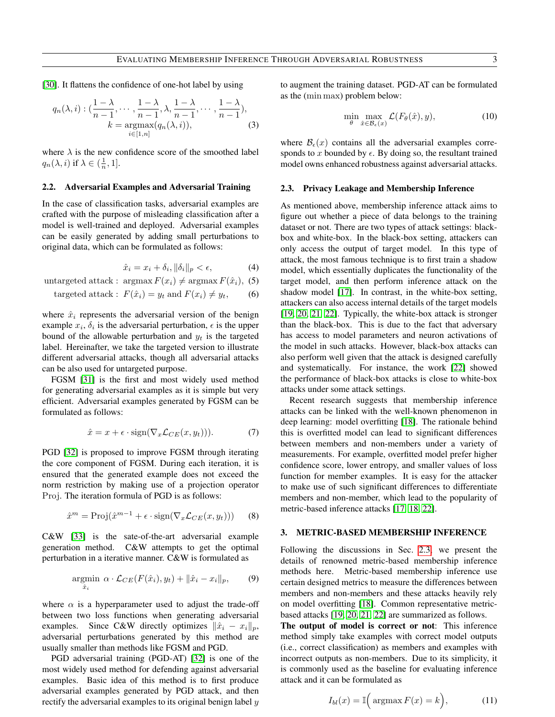[\[30\]](#page-9-1). It flattens the confidence of one-hot label by using

$$
q_n(\lambda, i) : (\frac{1-\lambda}{n-1}, \dots, \frac{1-\lambda}{n-1}, \lambda, \frac{1-\lambda}{n-1}, \dots, \frac{1-\lambda}{n-1}),
$$
  
\n
$$
k = \underset{i \in [1, n]}{\operatorname{argmax}} (q_n(\lambda, i)),
$$
 (3)

where  $\lambda$  is the new confidence score of the smoothed label  $q_n(\lambda, i)$  if  $\lambda \in (\frac{1}{n}, 1]$ .

#### <span id="page-2-2"></span>2.2. Adversarial Examples and Adversarial Training

In the case of classification tasks, adversarial examples are crafted with the purpose of misleading classification after a model is well-trained and deployed. Adversarial examples can be easily generated by adding small perturbations to original data, which can be formulated as follows:

$$
\hat{x}_i = x_i + \delta_i, \|\delta_i\|_p < \epsilon,\tag{4}
$$

untargeted attack : argmax  $F(x_i) \neq \argmax F(\hat{x}_i)$ , (5)

targeted attack: 
$$
F(\hat{x}_i) = y_t
$$
 and  $F(x_i) \neq y_t$ , (6)

where  $\hat{x}_i$  represents the adversarial version of the benign example  $x_i$ ,  $\delta_i$  is the adversarial perturbation,  $\epsilon$  is the upper bound of the allowable perturbation and  $y_t$  is the targeted label. Hereinafter, we take the targeted version to illustrate different adversarial attacks, though all adversarial attacks can be also used for untargeted purpose.

FGSM [\[31\]](#page-9-2) is the first and most widely used method for generating adversarial examples as it is simple but very efficient. Adversarial examples generated by FGSM can be formulated as follows:

$$
\hat{x} = x + \epsilon \cdot \text{sign}(\nabla_x \mathcal{L}_{CE}(x, y_t))). \tag{7}
$$

PGD [\[32\]](#page-9-3) is proposed to improve FGSM through iterating the core component of FGSM. During each iteration, it is ensured that the generated example does not exceed the norm restriction by making use of a projection operator Proj. The iteration formula of PGD is as follows:

$$
\hat{x}^m = \text{Proj}(\hat{x}^{m-1} + \epsilon \cdot \text{sign}(\nabla_x \mathcal{L}_{CE}(x, y_t)))
$$
 (8)

C&W [\[33\]](#page-9-4) is the sate-of-the-art adversarial example generation method. C&W attempts to get the optimal perturbation in a iterative manner. C&W is formulated as

$$
\underset{\hat{x}_i}{\text{argmin}} \ \alpha \cdot \mathcal{L}_{CE}(F(\hat{x}_i), y_t) + ||\hat{x}_i - x_i||_p, \qquad (9)
$$

where  $\alpha$  is a hyperparameter used to adjust the trade-off between two loss functions when generating adversarial examples. Since C&W directly optimizes  $\|\hat{x}_i - x_i\|_p$ , adversarial perturbations generated by this method are usually smaller than methods like FGSM and PGD.

PGD adversarial training (PGD-AT) [\[32\]](#page-9-3) is one of the most widely used method for defending against adversarial examples. Basic idea of this method is to first produce adversarial examples generated by PGD attack, and then rectify the adversarial examples to its original benign label  $y$ 

to augment the training dataset. PGD-AT can be formulated as the (min max) problem below:

$$
\min_{\theta} \max_{\hat{x} \in \mathcal{B}_{\epsilon}(x)} \mathcal{L}(F_{\theta}(\hat{x}), y), \tag{10}
$$

where  $\mathcal{B}_{\epsilon}(x)$  contains all the adversarial examples corresponds to x bounded by  $\epsilon$ . By doing so, the resultant trained model owns enhanced robustness against adversarial attacks.

#### <span id="page-2-1"></span>2.3. Privacy Leakage and Membership Inference

As mentioned above, membership inference attack aims to figure out whether a piece of data belongs to the training dataset or not. There are two types of attack settings: blackbox and white-box. In the black-box setting, attackers can only access the output of target model. In this type of attack, the most famous technique is to first train a shadow model, which essentially duplicates the functionality of the target model, and then perform inference attack on the shadow model [\[17\]](#page-8-16). In contrast, in the white-box setting, attackers can also access internal details of the target models [\[19,](#page-8-18) [20,](#page-8-19) [21,](#page-8-20) [22\]](#page-8-21). Typically, the white-box attack is stronger than the black-box. This is due to the fact that adversary has access to model parameters and neuron activations of the model in such attacks. However, black-box attacks can also perform well given that the attack is designed carefully and systematically. For instance, the work [\[22\]](#page-8-21) showed the performance of black-box attacks is close to white-box attacks under some attack settings.

Recent research suggests that membership inference attacks can be linked with the well-known phenomenon in deep learning: model overfitting [\[18\]](#page-8-17). The rationale behind this is overfitted model can lead to significant differences between members and non-members under a variety of measurements. For example, overfitted model prefer higher confidence score, lower entropy, and smaller values of loss function for member examples. It is easy for the attacker to make use of such significant differences to differentiate members and non-member, which lead to the popularity of metric-based inference attacks [\[17,](#page-8-16) [18,](#page-8-17) [22\]](#page-8-21).

## <span id="page-2-0"></span>3. METRIC-BASED MEMBERSHIP INFERENCE

Following the discussions in Sec. [2.3,](#page-2-1) we present the details of renowned metric-based membership inference methods here. Metric-based membership inference use certain designed metrics to measure the differences between members and non-members and these attacks heavily rely on model overfitting [\[18\]](#page-8-17). Common representative metricbased attacks [\[19,](#page-8-18) [20,](#page-8-19) [21,](#page-8-20) [22\]](#page-8-21) are summarized as follows.

The output of model is correct or not: This inference method simply take examples with correct model outputs (i.e., correct classification) as members and examples with incorrect outputs as non-members. Due to its simplicity, it is commonly used as the baseline for evaluating inference attack and it can be formulated as

$$
I_{bl}(x) = \mathbb{I}\Big(\operatorname{argmax} F(x) = k\Big),\tag{11}
$$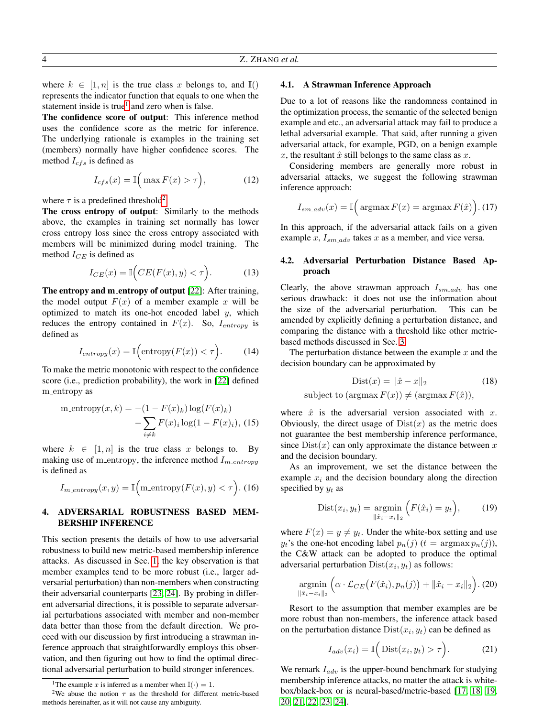where  $k \in [1, n]$  is the true class x belongs to, and  $\mathbb{I}()$ represents the indicator function that equals to one when the statement inside is true<sup>[1](#page-3-1)</sup> and zero when is false.

The confidence score of output: This inference method uses the confidence score as the metric for inference. The underlying rationale is examples in the training set (members) normally have higher confidence scores. The method  $I_{cfs}$  is defined as

$$
I_{cfs}(x) = \mathbb{I}\Big(\max F(x) > \tau\Big),\tag{12}
$$

where  $\tau$  is a predefined threshold<sup>[2](#page-3-2)</sup>.

The cross entropy of output: Similarly to the methods above, the examples in training set normally has lower cross entropy loss since the cross entropy associated with members will be minimized during model training. The method  $I_{CE}$  is defined as

$$
I_{CE}(x) = \mathbb{I}\Big(CE(F(x), y) < \tau\Big). \tag{13}
$$

The entropy and m\_entropy of output [\[22\]](#page-8-21): After training, the model output  $F(x)$  of a member example x will be optimized to match its one-hot encoded label  $y$ , which reduces the entropy contained in  $F(x)$ . So,  $I_{entropy}$  is defined as

$$
I_{entropy}(x) = \mathbb{I}\Big(\text{entropy}(F(x)) < \tau\Big). \tag{14}
$$

To make the metric monotonic with respect to the confidence score (i.e., prediction probability), the work in [\[22\]](#page-8-21) defined m entropy as

m entropy(x, k) = -(1 - F(x)<sub>k</sub>) log(F(x)<sub>k</sub>)  
 
$$
- \sum_{i \neq k} F(x)i log(1 - F(x)i), (15)
$$

where  $k \in [1, n]$  is the true class x belongs to. By making use of m\_entropy, the inference method  $I_{m\_entropy}$ is defined as

$$
I_{m\text{-}entropy}(x,y) = \mathbb{I}\Big(\text{m}\text{-entropy}(F(x),y) < \tau\Big). \tag{16}
$$

# <span id="page-3-0"></span>4. ADVERSARIAL ROBUSTNESS BASED MEM-BERSHIP INFERENCE

This section presents the details of how to use adversarial robustness to build new metric-based membership inference attacks. As discussed in Sec. [1,](#page-0-0) the key observation is that member examples tend to be more robust (i.e., larger adversarial perturbation) than non-members when constructing their adversarial counterparts [\[23,](#page-8-22) [24\]](#page-8-23). By probing in different adversarial directions, it is possible to separate adversarial perturbations associated with member and non-member data better than those from the default direction. We proceed with our discussion by first introducing a strawman inference approach that straightforwardly employs this observation, and then figuring out how to find the optimal directional adversarial perturbation to build stronger inferences.

# 4.1. A Strawman Inference Approach

Due to a lot of reasons like the randomness contained in the optimization process, the semantic of the selected benign example and etc., an adversarial attack may fail to produce a lethal adversarial example. That said, after running a given adversarial attack, for example, PGD, on a benign example x, the resultant  $\hat{x}$  still belongs to the same class as x.

Considering members are generally more robust in adversarial attacks, we suggest the following strawman inference approach:

$$
I_{sm\_adv}(x) = \mathbb{I}\Big(\operatorname{argmax} F(x) = \operatorname{argmax} F(\hat{x})\Big). (17)
$$

In this approach, if the adversarial attack fails on a given example x,  $I_{sm\_adv}$  takes x as a member, and vice versa.

# 4.2. Adversarial Perturbation Distance Based Approach

Clearly, the above strawman approach  $I_{s m \ldots a d v}$  has one serious drawback: it does not use the information about the size of the adversarial perturbation. This can be amended by explicitly defining a perturbation distance, and comparing the distance with a threshold like other metricbased methods discussed in Sec. [3.](#page-2-0)

The perturbation distance between the example  $x$  and the decision boundary can be approximated by

$$
\text{Dist}(x) = \|\hat{x} - x\|_2 \tag{18}
$$
\n
$$
\text{subject to } (\text{argmax } F(x)) \neq (\text{argmax } F(\hat{x})),
$$

where  $\hat{x}$  is the adversarial version associated with x. Obviously, the direct usage of  $Dist(x)$  as the metric does not guarantee the best membership inference performance, since  $Dist(x)$  can only approximate the distance between x and the decision boundary.

As an improvement, we set the distance between the example  $x_i$  and the decision boundary along the direction specified by  $y_t$  as

$$
Dist(x_i, y_t) = \underset{\|\hat{x}_i - x_i\|_2}{\text{argmin}} \Big( F(\hat{x}_i) = y_t \Big), \qquad (19)
$$

where  $F(x) = y \neq y_t$ . Under the white-box setting and use  $y_t$ 's the one-hot encoding label  $p_n(j)$   $(t = \argmax p_n(j))$ , the C&W attack can be adopted to produce the optimal adversarial perturbation  $Dist(x_i, y_t)$  as follows:

$$
\underset{\|\hat{x}_i - x_i\|_2}{\operatorname{argmin}} \left( \alpha \cdot \mathcal{L}_{CE}\big(F(\hat{x}_i), p_n(j)\big) + \|\hat{x}_i - x_i\|_2 \right). \tag{20}
$$

Resort to the assumption that member examples are be more robust than non-members, the inference attack based on the perturbation distance  $Dist(x_i, y_t)$  can be defined as

<span id="page-3-3"></span>
$$
I_{adv}(x_i) = \mathbb{I}\Big(\text{Dist}(x_i, y_t) > \tau\Big). \tag{21}
$$

We remark  $I_{adv}$  is the upper-bound benchmark for studying membership inference attacks, no matter the attack is whitebox/black-box or is neural-based/metric-based [\[17,](#page-8-16) [18,](#page-8-17) [19,](#page-8-18) [20,](#page-8-19) [21,](#page-8-20) [22,](#page-8-21) [23,](#page-8-22) [24\]](#page-8-23).

<span id="page-3-2"></span><span id="page-3-1"></span><sup>&</sup>lt;sup>1</sup>The example x is inferred as a member when  $\mathbb{I}(\cdot) = 1$ .

<sup>&</sup>lt;sup>2</sup>We abuse the notion  $\tau$  as the threshold for different metric-based methods hereinafter, as it will not cause any ambiguity.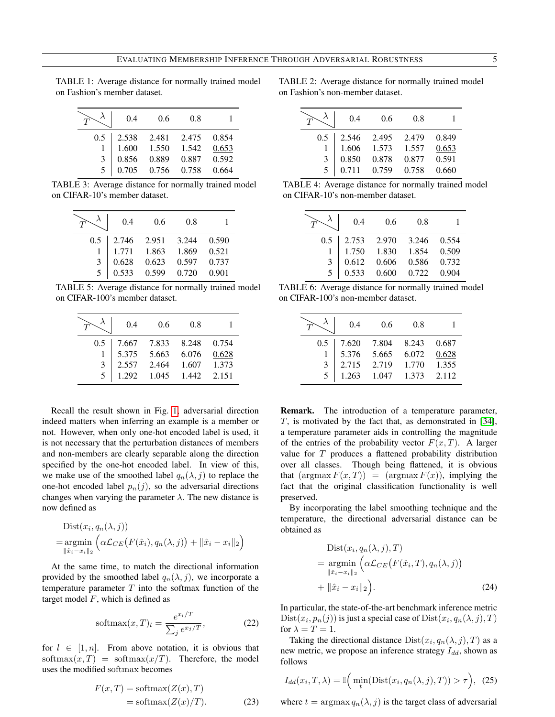<span id="page-4-1"></span>TABLE 1: Average distance for normally trained model on Fashion's member dataset.

|     | 0.4   | 0.6   | 0.8   |       |
|-----|-------|-------|-------|-------|
| 0.5 | 2.538 | 2.481 | 2.475 | 0.854 |
|     | 1.600 | 1.550 | 1.542 | 0.653 |
| 3   | 0.856 | 0.889 | 0.887 | 0.592 |
| 5   | 0.705 | 0.756 | 0.758 | 0.664 |

TABLE 3: Average distance for normally trained model on CIFAR-10's member dataset.

|     | 0.4   | 0.6   | 0.8   |       |
|-----|-------|-------|-------|-------|
| 0.5 | 2.746 | 2.951 | 3.244 | 0.590 |
|     | 1.771 | 1.863 | 1.869 | 0.521 |
| 3   | 0.628 | 0.623 | 0.597 | 0.737 |
| 5   | 0.533 | 0.599 | 0.720 | 0.901 |

TABLE 5: Average distance for normally trained model on CIFAR-100's member dataset.

|     | 0.4   | 0.6   | 0.8   |       |
|-----|-------|-------|-------|-------|
| 0.5 | 7.667 | 7.833 | 8.248 | 0.754 |
|     | 5.375 | 5.663 | 6.076 | 0.628 |
| 3   | 2.557 | 2.464 | 1.607 | 1.373 |
|     | 1.292 | 1.045 | 1.442 | 2.151 |

Recall the result shown in Fig. [1,](#page-1-0) adversarial direction indeed matters when inferring an example is a member or not. However, when only one-hot encoded label is used, it is not necessary that the perturbation distances of members and non-members are clearly separable along the direction specified by the one-hot encoded label. In view of this, we make use of the smoothed label  $q_n(\lambda, j)$  to replace the one-hot encoded label  $p_n(j)$ , so the adversarial directions changes when varying the parameter  $\lambda$ . The new distance is now defined as

$$
\begin{aligned} \text{Dist}(x_i, q_n(\lambda, j)) \\ = & \underset{\|\hat{x}_i - x_i\|_2}{\text{argmin}} \left( \alpha \mathcal{L}_{CE}\big(F(\hat{x}_i), q_n(\lambda, j)\big) + \|\hat{x}_i - x_i\|_2 \right) \end{aligned}
$$

At the same time, to match the directional information provided by the smoothed label  $q_n(\lambda, j)$ , we incorporate a temperature parameter  $T$  into the softmax function of the target model  $F$ , which is defined as

$$
\text{softmax}(x, T)_l = \frac{e^{x_l/T}}{\sum_j e^{x_j/T}},\tag{22}
$$

for  $l \in [1, n]$ . From above notation, it is obvious that softmax $(x, T)$  = softmax $(x/T)$ . Therefore, the model uses the modified softmax becomes

$$
F(x,T) = \text{softmax}(Z(x),T)
$$
  
= \text{softmax}(Z(x)/T). (23)

TABLE 2: Average distance for normally trained model on Fashion's non-member dataset.

|     | 0.4   | 0.6   | 0.8   |       |
|-----|-------|-------|-------|-------|
| 0.5 | 2.546 | 2.495 | 2.479 | 0.849 |
|     | 1.606 | 1.573 | 1.557 | 0.653 |
| 3   | 0.850 | 0.878 | 0.877 | 0.591 |
| 5   | 0.711 | 0.759 | 0.758 | 0.660 |

TABLE 4: Average distance for normally trained model on CIFAR-10's non-member dataset.

|     | 0.4   | 0.6         | 0.8   |       |
|-----|-------|-------------|-------|-------|
| 0.5 | 2.753 | 2.970       | 3.246 | 0.554 |
|     |       | 1.750 1.830 | 1.854 | 0.509 |
| 3   | 0.612 | 0.606       | 0.586 | 0.732 |
|     | 0.533 | 0.600       | 0.722 | 0.904 |

TABLE 6: Average distance for normally trained model on CIFAR-100's non-member dataset.

|     | 0.4   | 0.6   | 0.8   |       |
|-----|-------|-------|-------|-------|
| 0.5 | 7.620 | 7.804 | 8.243 | 0.687 |
|     | 5.376 | 5.665 | 6.072 | 0.628 |
| 3   | 2.715 | 2.719 | 1.770 | 1.355 |
|     | 1.263 | 1.047 | 1.373 | 2.112 |

Remark. The introduction of a temperature parameter,  $T$ , is motivated by the fact that, as demonstrated in [\[34\]](#page-9-5), a temperature parameter aids in controlling the magnitude of the entries of the probability vector  $F(x, T)$ . A larger value for T produces a flattened probability distribution over all classes. Though being flattened, it is obvious that  $(\argmax F(x, T)) = (\argmax F(x))$ , implying the fact that the original classification functionality is well preserved.

By incorporating the label smoothing technique and the temperature, the directional adversarial distance can be obtained as

$$
\begin{aligned} \text{Dist}(x_i, q_n(\lambda, j), T) \\ &= \underset{\|\hat{x}_i - x_i\|_2}{\text{argmin}} \left( \alpha \mathcal{L}_{CE} \big( F(\hat{x}_i, T), q_n(\lambda, j) \big) \right. \\ &\quad + \|\hat{x}_i - x_i\|_2 \Big). \end{aligned} \tag{24}
$$

In particular, the state-of-the-art benchmark inference metric  $\mathrm{Dist}(x_i, p_n(j))$  is just a special case of  $\mathrm{Dist}(x_i, q_n(\lambda, j), T)$ for  $\lambda = T = 1$ .

Taking the directional distance  $Dist(x_i, q_n(\lambda, j), T)$  as a new metric, we propose an inference strategy  $I_{dd}$ , shown as follows

<span id="page-4-0"></span>
$$
I_{dd}(x_i, T, \lambda) = \mathbb{I}\left(\min_t(\text{Dist}(x_i, q_n(\lambda, j), T)) > \tau\right), (25)
$$

where  $t = \argmax q_n(\lambda, j)$  is the target class of adversarial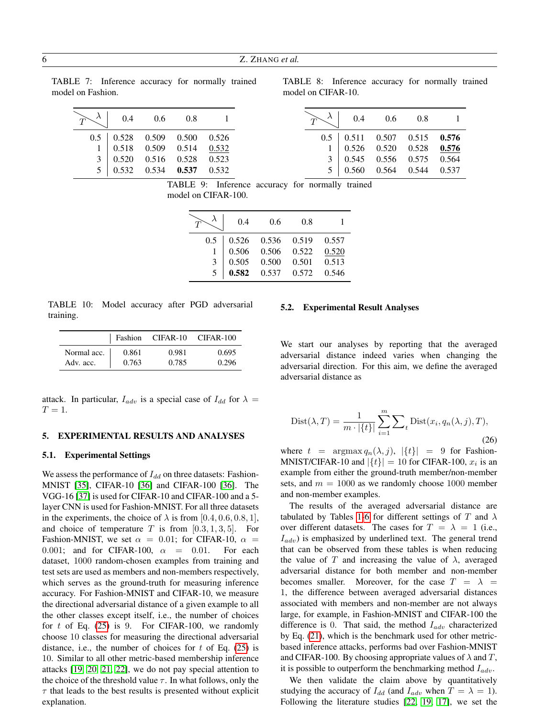<span id="page-5-1"></span>TABLE 7: Inference accuracy for normally trained model on Fashion.

|     | 0.4   | 0.6   | 0.8   |       |
|-----|-------|-------|-------|-------|
| 0.5 | 0.528 | 0.509 | 0.500 | 0.526 |
|     | 0.518 | 0.509 | 0.514 | 0.532 |
| 3   | 0.520 | 0.516 | 0.528 | 0.523 |
|     | 0.532 | 0.534 | 0.537 | 0.532 |

TABLE 8: Inference accuracy for normally trained model on CIFAR-10.

|     | 0.4   | 0.6   | 0.8   |       |
|-----|-------|-------|-------|-------|
| 0.5 | 0.511 | 0.507 | 0.515 | 0.576 |
|     | 0.526 | 0.520 | 0.528 | 0.576 |
| 3   | 0.545 | 0.556 | 0.575 | 0.564 |
|     | 0.560 | 0.564 | 0.544 | 0.537 |

TABLE 9: Inference accuracy for normally trained model on CIFAR-100.

|     | 0.4   | 0.6   | 0.8   |       |
|-----|-------|-------|-------|-------|
| 0.5 | 0.526 | 0.536 | 0.519 | 0.557 |
|     | 0.506 | 0.506 | 0.522 | 0.520 |
| 3   | 0.505 | 0.500 | 0.501 | 0.513 |
| 5   | 0.582 | 0.537 | 0.572 | 0.546 |

<span id="page-5-2"></span>TABLE 10: Model accuracy after PGD adversarial training.

|             | Fashion | CIFAR-10 | $CIFAR-100$ |
|-------------|---------|----------|-------------|
| Normal acc. | 0.861   | 0.981    | 0.695       |
| Adv. acc.   | 0.763   | 0.785    | 0.296       |

attack. In particular,  $I_{adv}$  is a special case of  $I_{dd}$  for  $\lambda =$  $T=1$ .

#### <span id="page-5-0"></span>5. EXPERIMENTAL RESULTS AND ANALYSES

#### 5.1. Experimental Settings

We assess the performance of  $I_{dd}$  on three datasets: Fashion-MNIST [\[35\]](#page-9-6), CIFAR-10 [\[36\]](#page-9-7) and CIFAR-100 [\[36\]](#page-9-7). The VGG-16 [\[37\]](#page-9-8) is used for CIFAR-10 and CIFAR-100 and a 5 layer CNN is used for Fashion-MNIST. For all three datasets in the experiments, the choice of  $\lambda$  is from [0.4, 0.6, 0.8, 1], and choice of temperature T is from  $[0.3, 1, 3, 5]$ . For Fashion-MNIST, we set  $\alpha = 0.01$ ; for CIFAR-10,  $\alpha =$ 0.001; and for CIFAR-100,  $\alpha = 0.01$ . For each dataset, 1000 random-chosen examples from training and test sets are used as members and non-members respectively, which serves as the ground-truth for measuring inference accuracy. For Fashion-MNIST and CIFAR-10, we measure the directional adversarial distance of a given example to all the other classes except itself, i.e., the number of choices for  $t$  of Eq. [\(25\)](#page-4-0) is 9. For CIFAR-100, we randomly choose 10 classes for measuring the directional adversarial distance, i.e., the number of choices for  $t$  of Eq. [\(25\)](#page-4-0) is 10. Similar to all other metric-based membership inference attacks [\[19,](#page-8-18) [20,](#page-8-19) [21,](#page-8-20) [22\]](#page-8-21), we do not pay special attention to the choice of the threshold value  $\tau$ . In what follows, only the  $\tau$  that leads to the best results is presented without explicit explanation.

# 5.2. Experimental Result Analyses

We start our analyses by reporting that the averaged adversarial distance indeed varies when changing the adversarial direction. For this aim, we define the averaged adversarial distance as

<span id="page-5-3"></span>
$$
Dist(\lambda, T) = \frac{1}{m \cdot |\{t\}|} \sum_{i=1}^{m} \sum_{t} Dist(x_i, q_n(\lambda, j), T),
$$
\n(26)

where  $t = \argmax q_n(\lambda, j)$ ,  $|\{t\}| = 9$  for Fashion-MNIST/CIFAR-10 and  $|\{t\}| = 10$  for CIFAR-100,  $x_i$  is an example from either the ground-truth member/non-member sets, and  $m = 1000$  as we randomly choose 1000 member and non-member examples.

The results of the averaged adversarial distance are tabulated by Tables [1-6](#page-4-1) for different settings of T and  $\lambda$ over different datasets. The cases for  $T = \lambda = 1$  (i.e.,  $I_{adv}$ ) is emphasized by underlined text. The general trend that can be observed from these tables is when reducing the value of T and increasing the value of  $\lambda$ , averaged adversarial distance for both member and non-member becomes smaller. Moreover, for the case  $T = \lambda$ 1, the difference between averaged adversarial distances associated with members and non-member are not always large, for example, in Fashion-MNIST and CIFAR-100 the difference is 0. That said, the method  $I_{adv}$  characterized by Eq. [\(21\)](#page-3-3), which is the benchmark used for other metricbased inference attacks, performs bad over Fashion-MNIST and CIFAR-100. By choosing appropriate values of  $\lambda$  and T, it is possible to outperform the benchmarking method  $I_{adv}$ .

We then validate the claim above by quantitatively studying the accuracy of  $I_{dd}$  (and  $I_{adv}$  when  $T = \lambda = 1$ ). Following the literature studies [\[22,](#page-8-21) [19,](#page-8-18) [17\]](#page-8-16), we set the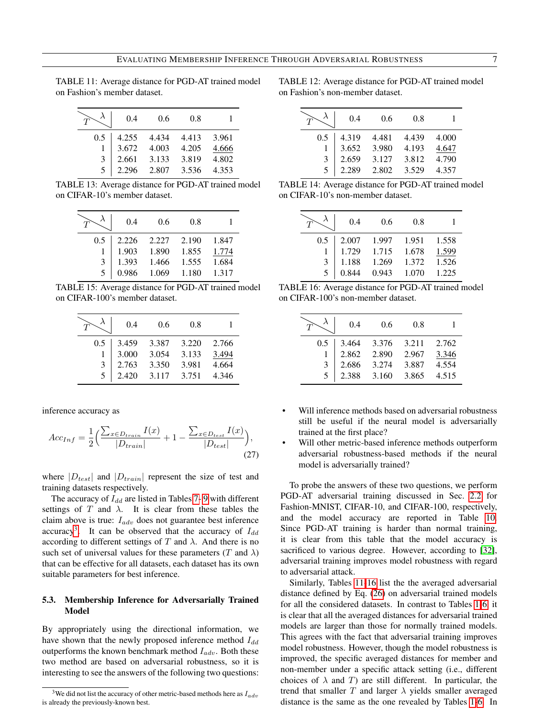<span id="page-6-1"></span>TABLE 11: Average distance for PGD-AT trained model on Fashion's member dataset.

|     | 0.4   | 0.6   | 0.8   |       |
|-----|-------|-------|-------|-------|
| 0.5 | 4.255 | 4.434 | 4.413 | 3.961 |
|     | 3.672 | 4.003 | 4.205 | 4.666 |
| 3   | 2.661 | 3.133 | 3.819 | 4.802 |
|     | 2.296 | 2.807 | 3.536 | 4.353 |

TABLE 13: Average distance for PGD-AT trained model on CIFAR-10's member dataset.

|     | 0.4   | 0.6   | 0.8   |       |
|-----|-------|-------|-------|-------|
| 0.5 | 2.226 | 2.227 | 2.190 | 1.847 |
|     | 1.903 | 1.890 | 1.855 | 1.774 |
| 3   | 1.393 | 1.466 | 1.555 | 1.684 |
|     | 0.986 | 1.069 | 1.180 | 1.317 |

TABLE 15: Average distance for PGD-AT trained model on CIFAR-100's member dataset.

|     | 0.4   | 0.6   | 0.8   |       |
|-----|-------|-------|-------|-------|
| 0.5 | 3.459 | 3.387 | 3.220 | 2.766 |
|     | 3.000 | 3.054 | 3.133 | 3.494 |
| 3   | 2.763 | 3.350 | 3.981 | 4.664 |
|     | 2.420 | 3.117 | 3.751 | 4.346 |

inference accuracy as

$$
Acc_{Inf} = \frac{1}{2} \Big( \frac{\sum_{x \in D_{train}} I(x)}{|D_{train}|} + 1 - \frac{\sum_{x \in D_{test}} I(x)}{|D_{test}|} \Big),\tag{27}
$$

where  $|D_{test}|$  and  $|D_{train}|$  represent the size of test and training datasets respectively.

The accuracy of  $I_{dd}$  are listed in Tables [7- 9](#page-5-1) with different settings of  $T$  and  $\lambda$ . It is clear from these tables the claim above is true:  $I_{adv}$  does not guarantee best inference accuracy<sup>[3](#page-6-0)</sup>. It can be observed that the accuracy of  $I_{dd}$ according to different settings of T and  $\lambda$ . And there is no such set of universal values for these parameters (T and  $\lambda$ ) that can be effective for all datasets, each dataset has its own suitable parameters for best inference.

# 5.3. Membership Inference for Adversarially Trained Model

By appropriately using the directional information, we have shown that the newly proposed inference method  $I_{dd}$ outperforms the known benchmark method  $I_{adv}$ . Both these two method are based on adversarial robustness, so it is interesting to see the answers of the following two questions:

TABLE 12: Average distance for PGD-AT trained model on Fashion's non-member dataset.

|     | 0.4   | 0.6   | 0.8   |       |
|-----|-------|-------|-------|-------|
| 0.5 | 4.319 | 4.481 | 4.439 | 4.000 |
|     | 3.652 | 3.980 | 4.193 | 4.647 |
| 3   | 2.659 | 3.127 | 3.812 | 4.790 |
| 5   | 2.289 | 2.802 | 3.529 | 4.357 |

TABLE 14: Average distance for PGD-AT trained model on CIFAR-10's non-member dataset.

|     | 0.4   | 0.6   | 0.8   |       |
|-----|-------|-------|-------|-------|
| 0.5 | 2.007 | 1.997 | 1.951 | 1.558 |
|     | 1.729 | 1.715 | 1.678 | 1.599 |
| 3   | 1.188 | 1.269 | 1.372 | 1.526 |
|     | 0.844 | 0.943 | 1.070 | 1.225 |

| TABLE 16: Average distance for PGD-AT trained model |  |
|-----------------------------------------------------|--|
| on CIFAR-100's non-member dataset.                  |  |

|     | 0.4   | 0.6   | 0.8   |       |
|-----|-------|-------|-------|-------|
| 0.5 | 3.464 | 3.376 | 3.211 | 2.762 |
|     | 2.862 | 2.890 | 2.967 | 3.346 |
| 3   | 2.686 | 3.274 | 3.887 | 4.554 |
|     | 2.388 | 3.160 | 3.865 | 4.515 |

- Will inference methods based on adversarial robustness still be useful if the neural model is adversarially trained at the first place?
- <span id="page-6-2"></span>Will other metric-based inference methods outperform adversarial robustness-based methods if the neural model is adversarially trained?

To probe the answers of these two questions, we perform PGD-AT adversarial training discussed in Sec. [2.2](#page-2-2) for Fashion-MNIST, CIFAR-10, and CIFAR-100, respectively, and the model accuracy are reported in Table [10.](#page-5-2) Since PGD-AT training is harder than normal training, it is clear from this table that the model accuracy is sacrificed to various degree. However, according to [\[32\]](#page-9-3), adversarial training improves model robustness with regard to adversarial attack.

Similarly, Tables [11-16](#page-6-1) list the the averaged adversarial distance defined by Eq. [\(26\)](#page-5-3) on adversarial trained models for all the considered datasets. In contrast to Tables [1-6,](#page-4-1) it is clear that all the averaged distances for adversarial trained models are larger than those for normally trained models. This agrees with the fact that adversarial training improves model robustness. However, though the model robustness is improved, the specific averaged distances for member and non-member under a specific attack setting (i.e., different choices of  $\lambda$  and T) are still different. In particular, the trend that smaller  $T$  and larger  $\lambda$  yields smaller averaged distance is the same as the one revealed by Tables [1-6.](#page-4-1) In

<span id="page-6-0"></span><sup>&</sup>lt;sup>3</sup>We did not list the accuracy of other metric-based methods here as  $I_{adv}$ is already the previously-known best.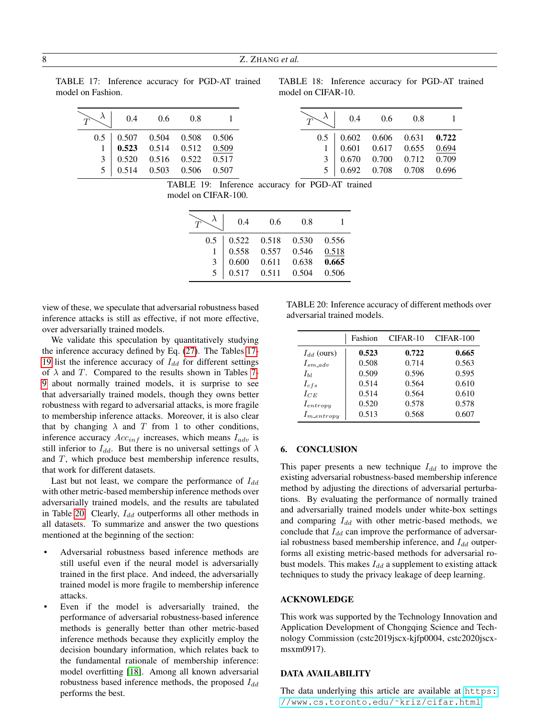<span id="page-7-1"></span>TABLE 17: Inference accuracy for PGD-AT trained model on Fashion.

TABLE 18: Inference accuracy for PGD-AT trained model on CIFAR-10.

|  | $T$ $\lambda$ 0.4 0.6 0.8 1             |  | $T\left(\begin{array}{ccc} \lambda & 0.4 & 0.6 & 0.8 & 1 \end{array}\right)$ |  |  |
|--|-----------------------------------------|--|------------------------------------------------------------------------------|--|--|
|  | $0.5$   $0.507$ $0.504$ $0.508$ $0.506$ |  | $0.5$   $0.602$ $0.606$ $0.631$ <b>0.722</b>                                 |  |  |
|  | 1   0.523   0.514   0.512   0.509       |  | 1   0.601   0.617   0.655   0.694                                            |  |  |
|  | 3   0.520 0.516 0.522 0.517             |  | $3 \mid 0.670 \quad 0.700 \quad 0.712 \quad 0.709$                           |  |  |
|  | 5   0.514   0.503   0.506   0.507       |  | 5   0.692   0.708   0.708   0.696                                            |  |  |

TABLE 19: Inference accuracy for PGD-AT trained model on CIFAR-100.

|     | 0.4   | 0.6   | 0.8   |       |
|-----|-------|-------|-------|-------|
| 0.5 | 0.522 | 0.518 | 0.530 | 0.556 |
|     | 0.558 | 0.557 | 0.546 | 0.518 |
| 3   | 0.600 | 0.611 | 0.638 | 0.665 |
| 5   | 0.517 | 0.511 | 0.504 | 0.506 |

view of these, we speculate that adversarial robustness based inference attacks is still as effective, if not more effective, over adversarially trained models.

We validate this speculation by quantitatively studying the inference accuracy defined by Eq. [\(27\)](#page-6-2). The Tables [17-](#page-7-1) [19](#page-7-1) list the inference accuracy of  $I_{dd}$  for different settings of  $\lambda$  and T. Compared to the results shown in Tables [7-](#page-5-1) [9](#page-5-1) about normally trained models, it is surprise to see that adversarially trained models, though they owns better robustness with regard to adversarial attacks, is more fragile to membership inference attacks. Moreover, it is also clear that by changing  $\lambda$  and T from 1 to other conditions, inference accuracy  $Acc_{inf}$  increases, which means  $I_{adv}$  is still inferior to  $I_{dd}$ . But there is no universal settings of  $\lambda$ and T, which produce best membership inference results, that work for different datasets.

Last but not least, we compare the performance of  $I_{dd}$ with other metric-based membership inference methods over adversarially trained models, and the results are tabulated in Table [20.](#page-7-2) Clearly,  $I_{dd}$  outperforms all other methods in all datasets. To summarize and answer the two questions mentioned at the beginning of the section:

- Adversarial robustness based inference methods are still useful even if the neural model is adversarially trained in the first place. And indeed, the adversarially trained model is more fragile to membership inference attacks.
- Even if the model is adversarially trained, the performance of adversarial robustness-based inference methods is generally better than other metric-based inference methods because they explicitly employ the decision boundary information, which relates back to the fundamental rationale of membership inference: model overfitting [\[18\]](#page-8-17). Among all known adversarial robustness based inference methods, the proposed  $I_{dd}$ performs the best.

<span id="page-7-2"></span>TABLE 20: Inference accuracy of different methods over adversarial trained models.

|                  | Fashion | CIFAR-10 | CIFAR-100 |
|------------------|---------|----------|-----------|
| $I_{dd}$ (ours)  | 0.523   | 0.722    | 0.665     |
| $I_{sm,adv}$     | 0.508   | 0.714    | 0.563     |
| $I_{hl}$         | 0.509   | 0.596    | 0.595     |
| $I_{cfs}$        | 0.514   | 0.564    | 0.610     |
| $I_{CE}$         | 0.514   | 0.564    | 0.610     |
| $I_{entropy}$    | 0.520   | 0.578    | 0.578     |
| $I_{m\_entropy}$ | 0.513   | 0.568    | 0.607     |

#### <span id="page-7-0"></span>6. CONCLUSION

This paper presents a new technique  $I_{dd}$  to improve the existing adversarial robustness-based membership inference method by adjusting the directions of adversarial perturbations. By evaluating the performance of normally trained and adversarially trained models under white-box settings and comparing  $I_{dd}$  with other metric-based methods, we conclude that  $I_{dd}$  can improve the performance of adversarial robustness based membership inference, and  $I_{dd}$  outperforms all existing metric-based methods for adversarial robust models. This makes  $I_{dd}$  a supplement to existing attack techniques to study the privacy leakage of deep learning.

#### ACKNOWLEDGE

This work was supported by the Technology Innovation and Application Development of Chongqing Science and Technology Commission (cstc2019jscx-kjfp0004, cstc2020jscxmsxm0917).

#### DATA AVAILABILITY

The data underlying this article are available at [https:](https://www.cs.toronto.edu/~kriz/cifar.html) [//www.cs.toronto.edu/˜kriz/cifar.html](https://www.cs.toronto.edu/~kriz/cifar.html)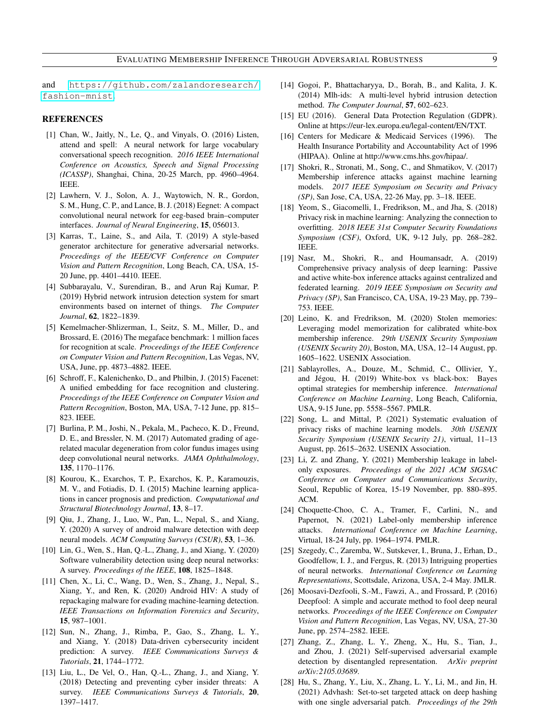and [https://github.com/zalandoresearch/](https://github.com/zalandoresearch/fashion-mnist) [fashion-mnist](https://github.com/zalandoresearch/fashion-mnist).

# REFERENCES

- <span id="page-8-0"></span>[1] Chan, W., Jaitly, N., Le, Q., and Vinyals, O. (2016) Listen, attend and spell: A neural network for large vocabulary conversational speech recognition. *2016 IEEE International Conference on Acoustics, Speech and Signal Processing (ICASSP)*, Shanghai, China, 20-25 March, pp. 4960–4964. IEEE.
- <span id="page-8-1"></span>[2] Lawhern, V. J., Solon, A. J., Waytowich, N. R., Gordon, S. M., Hung, C. P., and Lance, B. J. (2018) Eegnet: A compact convolutional neural network for eeg-based brain–computer interfaces. *Journal of Neural Engineering*, 15, 056013.
- <span id="page-8-2"></span>[3] Karras, T., Laine, S., and Aila, T. (2019) A style-based generator architecture for generative adversarial networks. *Proceedings of the IEEE/CVF Conference on Computer Vision and Pattern Recognition*, Long Beach, CA, USA, 15- 20 June, pp. 4401–4410. IEEE.
- <span id="page-8-3"></span>[4] Subbarayalu, V., Surendiran, B., and Arun Raj Kumar, P. (2019) Hybrid network intrusion detection system for smart environments based on internet of things. *The Computer Journal*, 62, 1822–1839.
- <span id="page-8-4"></span>[5] Kemelmacher-Shlizerman, I., Seitz, S. M., Miller, D., and Brossard, E. (2016) The megaface benchmark: 1 million faces for recognition at scale. *Proceedings of the IEEE Conference on Computer Vision and Pattern Recognition*, Las Vegas, NV, USA, June, pp. 4873–4882. IEEE.
- <span id="page-8-5"></span>[6] Schroff, F., Kalenichenko, D., and Philbin, J. (2015) Facenet: A unified embedding for face recognition and clustering. *Proceedings of the IEEE Conference on Computer Vision and Pattern Recognition*, Boston, MA, USA, 7-12 June, pp. 815– 823. IEEE.
- <span id="page-8-6"></span>[7] Burlina, P. M., Joshi, N., Pekala, M., Pacheco, K. D., Freund, D. E., and Bressler, N. M. (2017) Automated grading of agerelated macular degeneration from color fundus images using deep convolutional neural networks. *JAMA Ophthalmology*, 135, 1170–1176.
- <span id="page-8-7"></span>[8] Kourou, K., Exarchos, T. P., Exarchos, K. P., Karamouzis, M. V., and Fotiadis, D. I. (2015) Machine learning applications in cancer prognosis and prediction. *Computational and Structural Biotechnology Journal*, 13, 8–17.
- <span id="page-8-8"></span>[9] Qiu, J., Zhang, J., Luo, W., Pan, L., Nepal, S., and Xiang, Y. (2020) A survey of android malware detection with deep neural models. *ACM Computing Surveys (CSUR)*, 53, 1–36.
- <span id="page-8-9"></span>[10] Lin, G., Wen, S., Han, Q.-L., Zhang, J., and Xiang, Y. (2020) Software vulnerability detection using deep neural networks: A survey. *Proceedings of the IEEE*, 108, 1825–1848.
- <span id="page-8-10"></span>[11] Chen, X., Li, C., Wang, D., Wen, S., Zhang, J., Nepal, S., Xiang, Y., and Ren, K. (2020) Android HIV: A study of repackaging malware for evading machine-learning detection. *IEEE Transactions on Information Forensics and Security*, 15, 987–1001.
- <span id="page-8-11"></span>[12] Sun, N., Zhang, J., Rimba, P., Gao, S., Zhang, L. Y., and Xiang, Y. (2018) Data-driven cybersecurity incident prediction: A survey. *IEEE Communications Surveys & Tutorials*, 21, 1744–1772.
- <span id="page-8-12"></span>[13] Liu, L., De Vel, O., Han, Q.-L., Zhang, J., and Xiang, Y. (2018) Detecting and preventing cyber insider threats: A survey. *IEEE Communications Surveys & Tutorials*, 20, 1397–1417.
- <span id="page-8-13"></span>[14] Gogoi, P., Bhattacharyya, D., Borah, B., and Kalita, J. K. (2014) Mlh-ids: A multi-level hybrid intrusion detection method. *The Computer Journal*, 57, 602–623.
- <span id="page-8-14"></span>[15] EU (2016). General Data Protection Regulation (GDPR). Online at https://eur-lex.europa.eu/legal-content/EN/TXT.
- <span id="page-8-15"></span>[16] Centers for Medicare & Medicaid Services (1996). The Health Insurance Portability and Accountability Act of 1996 (HIPAA). Online at http://www.cms.hhs.gov/hipaa/.
- <span id="page-8-16"></span>[17] Shokri, R., Stronati, M., Song, C., and Shmatikov, V. (2017) Membership inference attacks against machine learning models. *2017 IEEE Symposium on Security and Privacy (SP)*, San Jose, CA, USA, 22-26 May, pp. 3–18. IEEE.
- <span id="page-8-17"></span>[18] Yeom, S., Giacomelli, I., Fredrikson, M., and Jha, S. (2018) Privacy risk in machine learning: Analyzing the connection to overfitting. *2018 IEEE 31st Computer Security Foundations Symposium (CSF)*, Oxford, UK, 9-12 July, pp. 268–282. IEEE.
- <span id="page-8-18"></span>[19] Nasr, M., Shokri, R., and Houmansadr, A. (2019) Comprehensive privacy analysis of deep learning: Passive and active white-box inference attacks against centralized and federated learning. *2019 IEEE Symposium on Security and Privacy (SP)*, San Francisco, CA, USA, 19-23 May, pp. 739– 753. IEEE.
- <span id="page-8-19"></span>[20] Leino, K. and Fredrikson, M. (2020) Stolen memories: Leveraging model memorization for calibrated white-box membership inference. *29th USENIX Security Symposium (USENIX Security 20)*, Boston, MA, USA, 12–14 August, pp. 1605–1622. USENIX Association.
- <span id="page-8-20"></span>[21] Sablayrolles, A., Douze, M., Schmid, C., Ollivier, Y., and Jégou, H. (2019) White-box vs black-box: Bayes optimal strategies for membership inference. *International Conference on Machine Learning*, Long Beach, California, USA, 9-15 June, pp. 5558–5567. PMLR.
- <span id="page-8-21"></span>[22] Song, L. and Mittal, P. (2021) Systematic evaluation of privacy risks of machine learning models. *30th USENIX Security Symposium (USENIX Security 21)*, virtual, 11–13 August, pp. 2615–2632. USENIX Association.
- <span id="page-8-22"></span>[23] Li, Z. and Zhang, Y. (2021) Membership leakage in labelonly exposures. *Proceedings of the 2021 ACM SIGSAC Conference on Computer and Communications Security*, Seoul, Republic of Korea, 15-19 November, pp. 880–895. ACM.
- <span id="page-8-23"></span>[24] Choquette-Choo, C. A., Tramer, F., Carlini, N., and Papernot, N. (2021) Label-only membership inference attacks. *International Conference on Machine Learning*, Virtual, 18-24 July, pp. 1964–1974. PMLR.
- <span id="page-8-24"></span>[25] Szegedy, C., Zaremba, W., Sutskever, I., Bruna, J., Erhan, D., Goodfellow, I. J., and Fergus, R. (2013) Intriguing properties of neural networks. *International Conference on Learning Representations*, Scottsdale, Arizona, USA, 2-4 May. JMLR.
- <span id="page-8-25"></span>[26] Moosavi-Dezfooli, S.-M., Fawzi, A., and Frossard, P. (2016) Deepfool: A simple and accurate method to fool deep neural networks. *Proceedings of the IEEE Conference on Computer Vision and Pattern Recognition*, Las Vegas, NV, USA, 27-30 June, pp. 2574–2582. IEEE.
- <span id="page-8-26"></span>[27] Zhang, Z., Zhang, L. Y., Zheng, X., Hu, S., Tian, J., and Zhou, J. (2021) Self-supervised adversarial example detection by disentangled representation. *ArXiv preprint arXiv:2105.03689*.
- <span id="page-8-27"></span>[28] Hu, S., Zhang, Y., Liu, X., Zhang, L. Y., Li, M., and Jin, H. (2021) Advhash: Set-to-set targeted attack on deep hashing with one single adversarial patch. *Proceedings of the 29th*